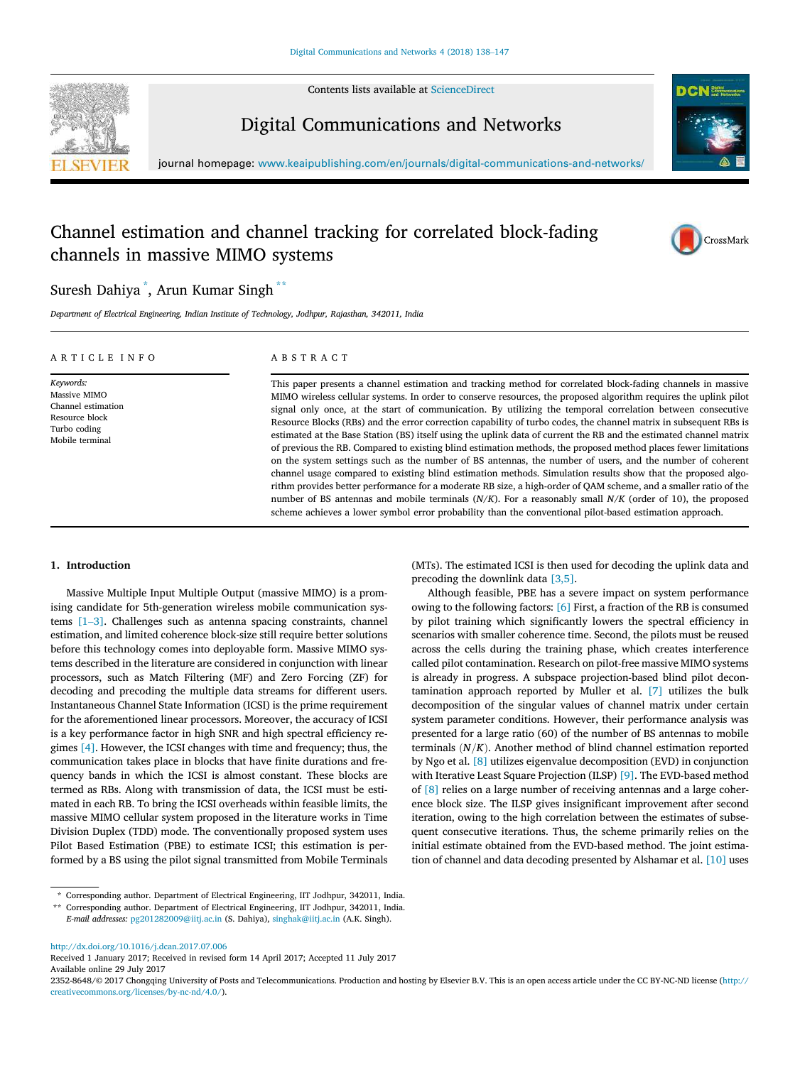

Contents lists available at ScienceDirect

Digital Communications and Networks



journal homepage: www.keaipublishing.com/en/journals/digital-communications-and-networks/

# Channel estimation and channel tracking for correlated block-fading channels in massive MIMO systems



# Suresh Dahiya \* , Arun Kumar Singh \*\*

*Department of Electrical Engineering, Indian Institute of Technology, Jodhpur, Rajasthan, 342011, India*

| ARTICLE INFO                                                                                         | ABSTRACT                                                                                                                                                                                                                                                                                                                                                                                                                                                                                                                                                                                                                                                                                                                                                                                                                                                                                                                                                                                                                                                                                                                                                                       |
|------------------------------------------------------------------------------------------------------|--------------------------------------------------------------------------------------------------------------------------------------------------------------------------------------------------------------------------------------------------------------------------------------------------------------------------------------------------------------------------------------------------------------------------------------------------------------------------------------------------------------------------------------------------------------------------------------------------------------------------------------------------------------------------------------------------------------------------------------------------------------------------------------------------------------------------------------------------------------------------------------------------------------------------------------------------------------------------------------------------------------------------------------------------------------------------------------------------------------------------------------------------------------------------------|
| Keywords:<br>Massive MIMO<br>Channel estimation<br>Resource block<br>Turbo coding<br>Mobile terminal | This paper presents a channel estimation and tracking method for correlated block-fading channels in massive<br>MIMO wireless cellular systems. In order to conserve resources, the proposed algorithm requires the uplink pilot<br>signal only once, at the start of communication. By utilizing the temporal correlation between consecutive<br>Resource Blocks (RBs) and the error correction capability of turbo codes, the channel matrix in subsequent RBs is<br>estimated at the Base Station (BS) itself using the uplink data of current the RB and the estimated channel matrix<br>of previous the RB. Compared to existing blind estimation methods, the proposed method places fewer limitations<br>on the system settings such as the number of BS antennas, the number of users, and the number of coherent<br>channel usage compared to existing blind estimation methods. Simulation results show that the proposed algo-<br>rithm provides better performance for a moderate RB size, a high-order of QAM scheme, and a smaller ratio of the<br>number of BS antennas and mobile terminals $(N/K)$ . For a reasonably small $N/K$ (order of 10), the proposed |

# 1. Introduction

Massive Multiple Input Multiple Output (massive MIMO) is a promising candidate for 5th-generation wireless mobile communication systems [1–3]. Challenges such as antenna spacing constraints, channel estimation, and limited coherence block-size still require better solutions before this technology comes into deployable form. Massive MIMO systems described in the literature are considered in conjunction with linear processors, such as Match Filtering (MF) and Zero Forcing (ZF) for decoding and precoding the multiple data streams for different users. Instantaneous Channel State Information (ICSI) is the prime requirement for the aforementioned linear processors. Moreover, the accuracy of ICSI is a key performance factor in high SNR and high spectral efficiency regimes [4]. However, the ICSI changes with time and frequency; thus, the communication takes place in blocks that have finite durations and frequency bands in which the ICSI is almost constant. These blocks are termed as RBs. Along with transmission of data, the ICSI must be estimated in each RB. To bring the ICSI overheads within feasible limits, the massive MIMO cellular system proposed in the literature works in Time Division Duplex (TDD) mode. The conventionally proposed system uses Pilot Based Estimation (PBE) to estimate ICSI; this estimation is performed by a BS using the pilot signal transmitted from Mobile Terminals

\* Corresponding author. Department of Electrical Engineering, IIT Jodhpur, 342011, India.

http://dx.doi.org/10.1016/j.dcan.2017.07.006

Received 1 January 2017; Received in revised form 14 April 2017; Accepted 11 July 2017 Available online 29 July 2017

2352-8648/© 2017 Chongqing University of Posts and Telecommunications. Production and hosting by Elsevier B.V. This is an open access article under the CC BY-NC-ND license (http:// creativecommons.org/licenses/by-nc-nd/4.0/).

(MTs). The estimated ICSI is then used for decoding the uplink data and precoding the downlink data [3,5].

scheme achieves a lower symbol error probability than the conventional pilot-based estimation approach.

Although feasible, PBE has a severe impact on system performance owing to the following factors: [6] First, a fraction of the RB is consumed by pilot training which significantly lowers the spectral efficiency in scenarios with smaller coherence time. Second, the pilots must be reused across the cells during the training phase, which creates interference called pilot contamination. Research on pilot-free massive MIMO systems is already in progress. A subspace projection-based blind pilot decontamination approach reported by Muller et al. [7] utilizes the bulk decomposition of the singular values of channel matrix under certain system parameter conditions. However, their performance analysis was presented for a large ratio (60) of the number of BS antennas to mobile terminals  $(N/K)$ . Another method of blind channel estimation reported by Ngo et al. [8] utilizes eigenvalue decomposition (EVD) in conjunction with Iterative Least Square Projection (ILSP) [9]. The EVD-based method of [8] relies on a large number of receiving antennas and a large coherence block size. The ILSP gives insignificant improvement after second iteration, owing to the high correlation between the estimates of subsequent consecutive iterations. Thus, the scheme primarily relies on the initial estimate obtained from the EVD-based method. The joint estimation of channel and data decoding presented by Alshamar et al. [10] uses

<sup>\*\*</sup> Corresponding author. Department of Electrical Engineering, IIT Jodhpur, 342011, India. *E-mail addresses:* pg201282009@iitj.ac.in (S. Dahiya), singhak@iitj.ac.in (A.K. Singh).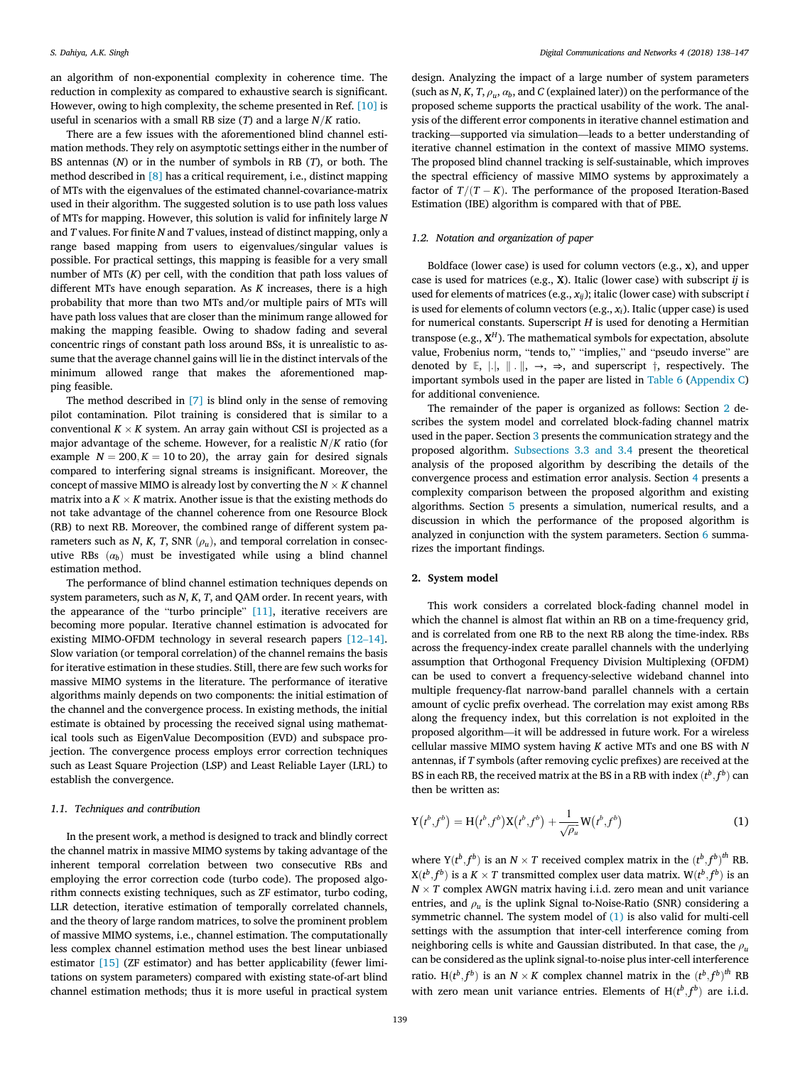an algorithm of non-exponential complexity in coherence time. The reduction in complexity as compared to exhaustive search is significant. However, owing to high complexity, the scheme presented in Ref. [10] is useful in scenarios with a small RB size  $(T)$  and a large  $N/K$  ratio.

There are a few issues with the aforementioned blind channel estimation methods. They rely on asymptotic settings either in the number of BS antennas (*N*) or in the number of symbols in RB (*T*), or both. The method described in [8] has a critical requirement, i.e., distinct mapping of MTs with the eigenvalues of the estimated channel-covariance-matrix used in their algorithm. The suggested solution is to use path loss values of MTs for mapping. However, this solution is valid for infinitely large *N* and *T* values. For finite *N* and *T* values, instead of distinct mapping, only a range based mapping from users to eigenvalues/singular values is possible. For practical settings, this mapping is feasible for a very small number of MTs (*K*) per cell, with the condition that path loss values of different MTs have enough separation. As *K* increases, there is a high probability that more than two MTs and/or multiple pairs of MTs will have path loss values that are closer than the minimum range allowed for making the mapping feasible. Owing to shadow fading and several concentric rings of constant path loss around BSs, it is unrealistic to assume that the average channel gains will lie in the distinct intervals of the minimum allowed range that makes the aforementioned mapping feasible.

The method described in [7] is blind only in the sense of removing pilot contamination. Pilot training is considered that is similar to a  $\mathop{\mathrm{conventional}}\nolimits K\times K$  system. An array gain without CSI is projected as a major advantage of the scheme. However, for a realistic  $N/K$  ratio (for example  $N = 200, K = 10$  to 20), the array gain for desired signals compared to interfering signal streams is insignificant. Moreover, the concept of massive MIMO is already lost by converting the  $N \times K$  channel matrix into a  $K \times K$  matrix. Another issue is that the existing methods do not take advantage of the channel coherence from one Resource Block (RB) to next RB. Moreover, the combined range of different system parameters such as *N*, *K*, *T*, SNR  $(\rho_u)$ , and temporal correlation in consecutive RBs  $(a_b)$  must be investigated while using a blind channel estimation method.

The performance of blind channel estimation techniques depends on system parameters, such as *N*, *K*, *T*, and QAM order. In recent years, with the appearance of the "turbo principle" [11], iterative receivers are becoming more popular. Iterative channel estimation is advocated for existing MIMO-OFDM technology in several research papers [12–14]. Slow variation (or temporal correlation) of the channel remains the basis for iterative estimation in these studies. Still, there are few such works for massive MIMO systems in the literature. The performance of iterative algorithms mainly depends on two components: the initial estimation of the channel and the convergence process. In existing methods, the initial estimate is obtained by processing the received signal using mathematical tools such as EigenValue Decomposition (EVD) and subspace projection. The convergence process employs error correction techniques such as Least Square Projection (LSP) and Least Reliable Layer (LRL) to establish the convergence.

### *1.1. Techniques and contribution*

In the present work, a method is designed to track and blindly correct the channel matrix in massive MIMO systems by taking advantage of the inherent temporal correlation between two consecutive RBs and employing the error correction code (turbo code). The proposed algorithm connects existing techniques, such as ZF estimator, turbo coding, LLR detection, iterative estimation of temporally correlated channels, and the theory of large random matrices, to solve the prominent problem of massive MIMO systems, i.e., channel estimation. The computationally less complex channel estimation method uses the best linear unbiased estimator [15] (ZF estimator) and has better applicability (fewer limitations on system parameters) compared with existing state-of-art blind channel estimation methods; thus it is more useful in practical system

design. Analyzing the impact of a large number of system parameters (such as *N*, *K*, *T*,  $\rho_u$ ,  $\alpha_b$ , and *C* (explained later)) on the performance of the proposed scheme supports the practical usability of the work. The analysis of the different error components in iterative channel estimation and tracking—supported via simulation—leads to a better understanding of iterative channel estimation in the context of massive MIMO systems. The proposed blind channel tracking is self-sustainable, which improves the spectral efficiency of massive MIMO systems by approximately a factor of  $T/(T-K)$ . The performance of the proposed Iteration-Based Estimation (IBE) algorithm is compared with that of PBE.

# *1.2. Notation and organization of paper*

Boldface (lower case) is used for column vectors (e.g., x), and upper case is used for matrices (e.g., X). Italic (lower case) with subscript *ij* is used for elements of matrices (e.g., *xij*); italic (lower case) with subscript *i* is used for elements of column vectors (e.g., *xi*). Italic (upper case) is used for numerical constants. Superscript *H* is used for denoting a Hermitian transpose (e.g.,  $X^H$ ). The mathematical symbols for expectation, absolute value, Frobenius norm, "tends to," "implies," and "pseudo inverse" are denoted by E, |.|,  $\|\cdot\|$ ,  $\rightarrow$ ,  $\Rightarrow$ , and superscript  $\dagger$ , respectively. The important symbols used in the paper are listed in Table 6 (Appendix C) for additional convenience.

The remainder of the paper is organized as follows: Section 2 describes the system model and correlated block-fading channel matrix used in the paper. Section 3 presents the communication strategy and the proposed algorithm. Subsections 3.3 and 3.4 present the theoretical analysis of the proposed algorithm by describing the details of the convergence process and estimation error analysis. Section 4 presents a complexity comparison between the proposed algorithm and existing algorithms. Section 5 presents a simulation, numerical results, and a discussion in which the performance of the proposed algorithm is analyzed in conjunction with the system parameters. Section 6 summarizes the important findings.

#### 2. System model

This work considers a correlated block-fading channel model in which the channel is almost flat within an RB on a time-frequency grid, and is correlated from one RB to the next RB along the time-index. RBs across the frequency-index create parallel channels with the underlying assumption that Orthogonal Frequency Division Multiplexing (OFDM) can be used to convert a frequency-selective wideband channel into multiple frequency-flat narrow-band parallel channels with a certain amount of cyclic prefix overhead. The correlation may exist among RBs along the frequency index, but this correlation is not exploited in the proposed algorithm—it will be addressed in future work. For a wireless cellular massive MIMO system having *K* active MTs and one BS with *N* antennas, if *T* symbols (after removing cyclic prefixes) are received at the BS in each RB, the received matrix at the BS in a RB with index  $(t^b, f^b)$  can then be written as:

$$
Y(t^{b}, f^{b}) = H(t^{b}, f^{b})X(t^{b}, f^{b}) + \frac{1}{\sqrt{\rho_{u}}}W(t^{b}, f^{b})
$$
\n(1)

where  $Y(t^b, f^b)$  is an  $N \times T$  received complex matrix in the  $(t^b, f^b)^{th}$  RB.  $X(t^b, f^b)$  is a *K*  $\times$  *T* transmitted complex user data matrix. W $(t^b, f^b)$  is an  $N \times T$  complex AWGN matrix having i.i.d. zero mean and unit variance entries, and  $\rho_u$  is the uplink Signal to-Noise-Ratio (SNR) considering a symmetric channel. The system model of (1) is also valid for multi-cell settings with the assumption that inter-cell interference coming from neighboring cells is white and Gaussian distributed. In that case, the ρ*<sup>u</sup>* can be considered as the uplink signal-to-noise plus inter-cell interference ratio. H $(t^b, f^b)$  is an  $N \times K$  complex channel matrix in the  $(t^b, f^b)^{th}$  RB with zero mean unit variance entries. Elements of  $H(t^b, f^b)$  are i.i.d.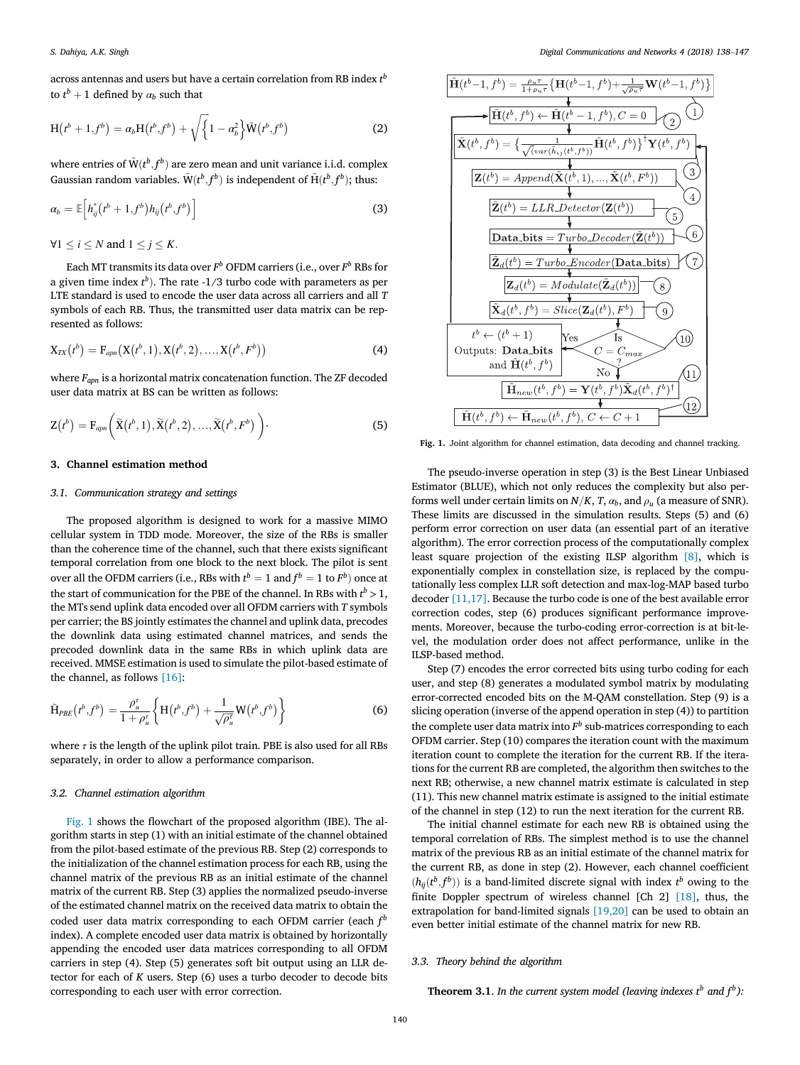across antennas and users but have a certain correlation from RB index  $t^b$ to  $t^b + 1$  defined by  $\alpha_b$  such that

$$
H(t^{b} + 1, f^{b}) = a_{b}H(t^{b}, f^{b}) + \sqrt{\left\{1 - \alpha_{b}^{2}\right\}}\tilde{W}(t^{b}, f^{b})
$$
 (2)

where entries of  $\tilde{W} (t^b, f^b)$  are zero mean and unit variance i.i.d. complex Gaussian random variables.  $\tilde{W}(t^b, f^b)$  is independent of  $\tilde{H}(t^b, f^b)$ ; thus:

$$
\alpha_b = \mathbb{E}\Big[h_{ij}^*(t^b + 1, f^b)h_{ij}(t^b, f^b)\Big]
$$
\n(3)

 $\forall 1 \leq i \leq N$  and  $1 \leq i \leq K$ .

Each MT transmits its data over *F <sup>b</sup>* OFDM carriers (i.e., over *F <sup>b</sup>* RBs for a given time index  $t^b$ ). The rate  $-1/3$  turbo code with parameters as per LTE standard is used to encode the user data across all carriers and all *T* symbols of each RB. Thus, the transmitted user data matrix can be represented as follows:

$$
X_{TX}(t^b) = F_{apn}(X(t^b, 1), X(t^b, 2), ..., X(t^b, F^b))
$$
\n(4)

where *Fapn* is a horizontal matrix concatenation function. The ZF decoded user data matrix at BS can be written as follows:

$$
\mathbf{Z}(t^b) = \mathbf{F}_{apn}\bigg(\widetilde{\mathbf{X}}(t^b,1), \widetilde{\mathbf{X}}(t^b,2), \ldots, \widetilde{\mathbf{X}}(t^b, F^b)\bigg)\bigg).
$$
 (5)

## 3. Channel estimation method

# *3.1. Communication strategy and settings*

The proposed algorithm is designed to work for a massive MIMO cellular system in TDD mode. Moreover, the size of the RBs is smaller than the coherence time of the channel, such that there exists significant temporal correlation from one block to the next block. The pilot is sent over all the OFDM carriers (i.e., RBs with  $t^b = 1$  and  $f^b = 1$  to  $F^b$ ) once at the start of communication for the PBE of the channel. In RBs with  $t^b > 1$ , the MTs send uplink data encoded over all OFDM carriers with *T* symbols per carrier; the BS jointly estimates the channel and uplink data, precodes the downlink data using estimated channel matrices, and sends the precoded downlink data in the same RBs in which uplink data are received. MMSE estimation is used to simulate the pilot-based estimate of the channel, as follows [16]:

$$
\widetilde{\mathbf{H}}_{PBE}(t^b, f^b) = \frac{\rho_u^{\tau}}{1 + \rho_u^{\tau}} \left\{ \mathbf{H}(t^b, f^b) + \frac{1}{\sqrt{\rho_u^{\tau}}} \mathbf{W}(t^b, f^b) \right\}
$$
(6)

where  $\tau$  is the length of the uplink pilot train. PBE is also used for all RBs separately, in order to allow a performance comparison.

#### *3.2. Channel estimation algorithm*

Fig. 1 shows the flowchart of the proposed algorithm (IBE). The algorithm starts in step (1) with an initial estimate of the channel obtained from the pilot-based estimate of the previous RB. Step (2) corresponds to the initialization of the channel estimation process for each RB, using the channel matrix of the previous RB as an initial estimate of the channel matrix of the current RB. Step (3) applies the normalized pseudo-inverse of the estimated channel matrix on the received data matrix to obtain the coded user data matrix corresponding to each OFDM carrier (each  $f^b$ index). A complete encoded user data matrix is obtained by horizontally appending the encoded user data matrices corresponding to all OFDM carriers in step (4). Step (5) generates soft bit output using an LLR detector for each of *K* users. Step (6) uses a turbo decoder to decode bits corresponding to each user with error correction.



Fig. 1. Joint algorithm for channel estimation, data decoding and channel tracking.

The pseudo-inverse operation in step (3) is the Best Linear Unbiased Estimator (BLUE), which not only reduces the complexity but also performs well under certain limits on  $N/K$ , *T*,  $\alpha_b$ , and  $\rho_u$  (a measure of SNR). These limits are discussed in the simulation results. Steps (5) and (6) perform error correction on user data (an essential part of an iterative algorithm). The error correction process of the computationally complex least square projection of the existing ILSP algorithm [8], which is exponentially complex in constellation size, is replaced by the computationally less complex LLR soft detection and max-log-MAP based turbo decoder [11,17]. Because the turbo code is one of the best available error correction codes, step (6) produces significant performance improvements. Moreover, because the turbo-coding error-correction is at bit-level, the modulation order does not affect performance, unlike in the ILSP-based method.

Step (7) encodes the error corrected bits using turbo coding for each user, and step (8) generates a modulated symbol matrix by modulating error-corrected encoded bits on the M-QAM constellation. Step (9) is a slicing operation (inverse of the append operation in step (4)) to partition the complete user data matrix into  $F<sup>b</sup>$  sub-matrices corresponding to each OFDM carrier. Step (10) compares the iteration count with the maximum iteration count to complete the iteration for the current RB. If the iterations for the current RB are completed, the algorithm then switches to the next RB; otherwise, a new channel matrix estimate is calculated in step (11). This new channel matrix estimate is assigned to the initial estimate of the channel in step (12) to run the next iteration for the current RB.

The initial channel estimate for each new RB is obtained using the temporal correlation of RBs. The simplest method is to use the channel matrix of the previous RB as an initial estimate of the channel matrix for the current RB, as done in step (2). However, each channel coefficient  $(h_{ij}(t^b, f^b))$  is a band-limited discrete signal with index  $t^b$  owing to the finite Doppler spectrum of wireless channel [Ch 2] [18], thus, the extrapolation for band-limited signals [19,20] can be used to obtain an even better initial estimate of the channel matrix for new RB.

# *3.3. Theory behind the algorithm*

**Theorem 3.1**. In the current system model (leaving indexes  $t^b$  and  $f^b$ ):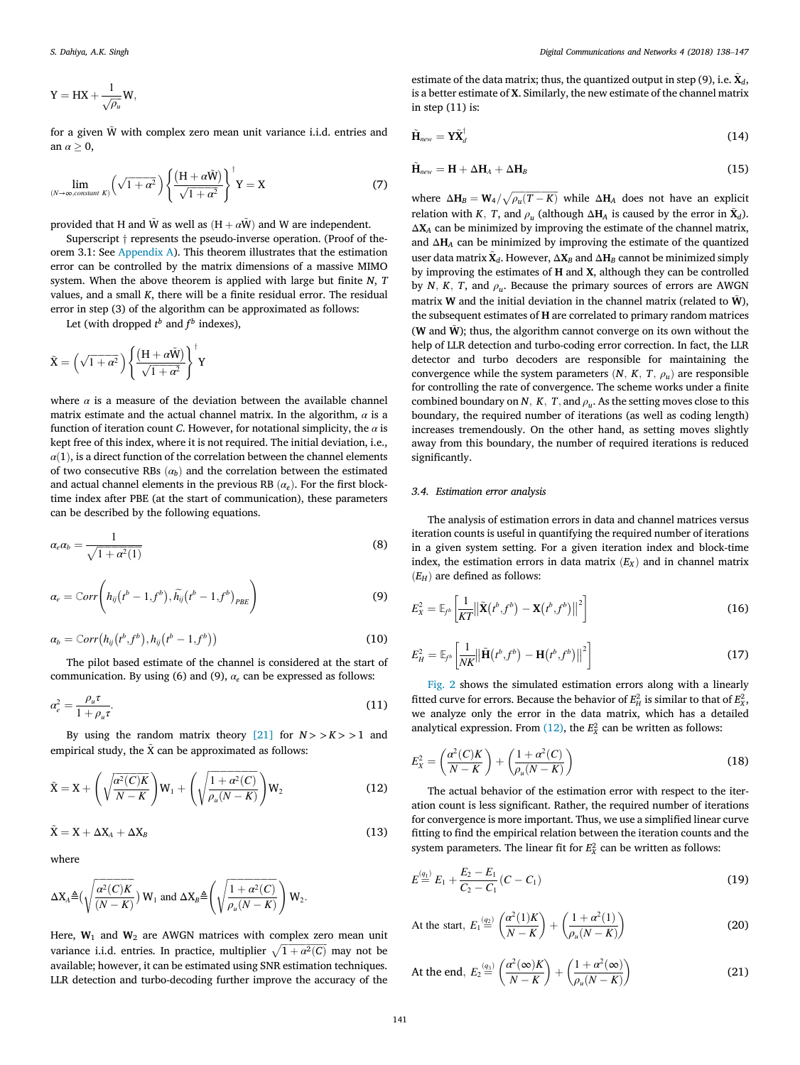$$
Y=HX+\frac{1}{\sqrt{\rho_u}}W,
$$

for a given  $\tilde{W}$  with complex zero mean unit variance i.i.d. entries and an  $\alpha > 0$ ,

$$
\lim_{(N \to \infty, constant \ K)} \left(\sqrt{1 + \alpha^2}\right) \left\{ \frac{\left(H + \alpha \tilde{W}\right)}{\sqrt{1 + \alpha^2}} \right\}^{\dagger} Y = X \tag{7}
$$

provided that H and  $\tilde{W}$  as well as  $(H + \alpha \tilde{W})$  and W are independent.

Superscript  $\dagger$  represents the pseudo-inverse operation. (Proof of theorem 3.1: See Appendix A). This theorem illustrates that the estimation error can be controlled by the matrix dimensions of a massive MIMO system. When the above theorem is applied with large but finite *N*, *T* values, and a small *K*, there will be a finite residual error. The residual error in step (3) of the algorithm can be approximated as follows:

Let (with dropped  $t^b$  and  $f^b$  indexes),

$$
\tilde{\mathbf{X}} = \left(\sqrt{1 + \alpha^2}\right) \left\{ \frac{\left(\mathbf{H} + \alpha \tilde{\mathbf{W}}\right)}{\sqrt{1 + \alpha^2}} \right\}^{\dagger} \mathbf{Y}
$$

where  $\alpha$  is a measure of the deviation between the available channel matrix estimate and the actual channel matrix. In the algorithm,  $\alpha$  is a function of iteration count *C*. However, for notational simplicity, the  $\alpha$  is kept free of this index, where it is not required. The initial deviation, i.e.,  $\alpha(1)$ , is a direct function of the correlation between the channel elements of two consecutive RBs  $(a_b)$  and the correlation between the estimated and actual channel elements in the previous RB  $(\alpha_e)$ . For the first blocktime index after PBE (at the start of communication), these parameters can be described by the following equations.

$$
\alpha_e \alpha_b = \frac{1}{\sqrt{1 + \alpha^2(1)}}\tag{8}
$$

$$
\alpha_e = \text{Corr}\left(h_{ij}(t^b - 1, f^b), \widetilde{h_{ij}}(t^b - 1, f^b)_{PBE}\right)
$$
\n(9)

$$
\alpha_b = \text{Corr}\big(h_{ij}\big(t^b, f^b\big), h_{ij}\big(t^b - 1, f^b\big)\big) \tag{10}
$$

The pilot based estimate of the channel is considered at the start of communication. By using (6) and (9),  $\alpha_e$  can be expressed as follows:

$$
\alpha_e^2 = \frac{\rho_u \tau}{1 + \rho_u \tau}.\tag{11}
$$

By using the random matrix theory [21] for  $N > K > 1$  and empirical study, the  $\tilde{X}$  can be approximated as follows:

$$
\tilde{X} = X + \left(\sqrt{\frac{\alpha^2(C)K}{N-K}}\right)W_1 + \left(\sqrt{\frac{1+\alpha^2(C)}{\rho_u(N-K)}}\right)W_2\tag{12}
$$

$$
\tilde{X} = X + \Delta X_A + \Delta X_B \tag{13}
$$

where

$$
\Delta X_A \triangleq \left(\sqrt{\frac{\alpha^2(C)K}{(N-K)}}\right) W_1 \text{ and } \Delta X_B \triangleq \left(\sqrt{\frac{1+\alpha^2(C)}{\rho_u(N-K)}}\right) W_2.
$$

Here,  $W_1$  and  $W_2$  are AWGN matrices with complex zero mean unit variance i.i.d. entries. In practice, multiplier  $\sqrt{1 + \alpha^2(C)}$  may not be available; however, it can be estimated using SNR estimation techniques. LLR detection and turbo-decoding further improve the accuracy of the

estimate of the data matrix; thus, the quantized output in step (9), i.e.  $\tilde{\mathbf{X}}_d$ , is a better estimate of X. Similarly, the new estimate of the channel matrix in step  $(11)$  is:

$$
\tilde{\mathbf{H}}_{new} = \mathbf{Y} \tilde{\mathbf{X}}_d^\dagger \tag{14}
$$

$$
\tilde{\mathbf{H}}_{new} = \mathbf{H} + \Delta \mathbf{H}_{A} + \Delta \mathbf{H}_{B}
$$
\n(15)

where  $\Delta H_B = W_4 / \sqrt{\rho_u (T - K)}$  while  $\Delta H_A$  does not have an explicit relation with *K*, *T*, and  $\rho_u$  (although  $\Delta H_A$  is caused by the error in  $\tilde{\mathbf{X}}_d$ ). ΔX*<sup>A</sup>* can be minimized by improving the estimate of the channel matrix, and ΔH*<sup>A</sup>* can be minimized by improving the estimate of the quantized user data matrix  $\tilde{\mathbf{X}}_d$ . However,  $\Delta \mathbf{X}_B$  and  $\Delta \mathbf{H}_B$  cannot be minimized simply by improving the estimates of H and X, although they can be controlled by *N*, *K*, *T*, and  $\rho_u$ . Because the primary sources of errors are AWGN matrix W and the initial deviation in the channel matrix (related to  $\tilde{W}$ ), the subsequent estimates of H are correlated to primary random matrices (W and  $\tilde{W}$ ); thus, the algorithm cannot converge on its own without the help of LLR detection and turbo-coding error correction. In fact, the LLR detector and turbo decoders are responsible for maintaining the convergence while the system parameters  $(N, K, T, \rho_u)$  are responsible for controlling the rate of convergence. The scheme works under a finite combined boundary on *N*, *K*, *T*, and  $\rho_u$ . As the setting moves close to this boundary, the required number of iterations (as well as coding length) increases tremendously. On the other hand, as setting moves slightly away from this boundary, the number of required iterations is reduced significantly.

#### *3.4. Estimation error analysis*

The analysis of estimation errors in data and channel matrices versus iteration counts is useful in quantifying the required number of iterations in a given system setting. For a given iteration index and block-time index, the estimation errors in data matrix  $(E_X)$  and in channel matrix  $(E_H)$  are defined as follows:

$$
E_X^2 = \mathbb{E}_{f^b} \left[ \frac{1}{KT} ||\tilde{\mathbf{X}}(t^b, f^b) - \mathbf{X}(t^b, f^b) ||^2 \right]
$$
(16)

$$
E_H^2 = \mathbb{E}_{f^b} \left[ \frac{1}{NK} || \tilde{\mathbf{H}}(t^b, f^b) - \mathbf{H}(t^b, f^b) ||^2 \right]
$$
 (17)

Fig. 2 shows the simulated estimation errors along with a linearly fitted curve for errors. Because the behavior of  $E_H^2$  is similar to that of  $E_X^2$ , we analyze only the error in the data matrix, which has a detailed analytical expression. From  $(12)$ , the  $E<sub>x</sub><sup>2</sup>$  can be written as follows:

$$
E_X^2 = \left(\frac{\alpha^2(C)K}{N-K}\right) + \left(\frac{1+\alpha^2(C)}{\rho_u(N-K)}\right)
$$
(18)

The actual behavior of the estimation error with respect to the iteration count is less significant. Rather, the required number of iterations for convergence is more important. Thus, we use a simplified linear curve fitting to find the empirical relation between the iteration counts and the system parameters. The linear fit for  $E_X^2$  can be written as follows:

$$
E^{(q_1)} \stackrel{(q_1)}{=} E_1 + \frac{E_2 - E_1}{C_2 - C_1} (C - C_1)
$$
\n(19)

At the start, 
$$
E_1 \stackrel{(q_2)}{=} \left( \frac{\alpha^2 (1) K}{N - K} \right) + \left( \frac{1 + \alpha^2 (1)}{\rho_u (N - K)} \right)
$$
 (20)

At the end, 
$$
E_2 \stackrel{(q_2)}{=} \left( \frac{\alpha^2(\infty)K}{N-K} \right) + \left( \frac{1 + \alpha^2(\infty)}{\rho_u(N-K)} \right)
$$
 (21)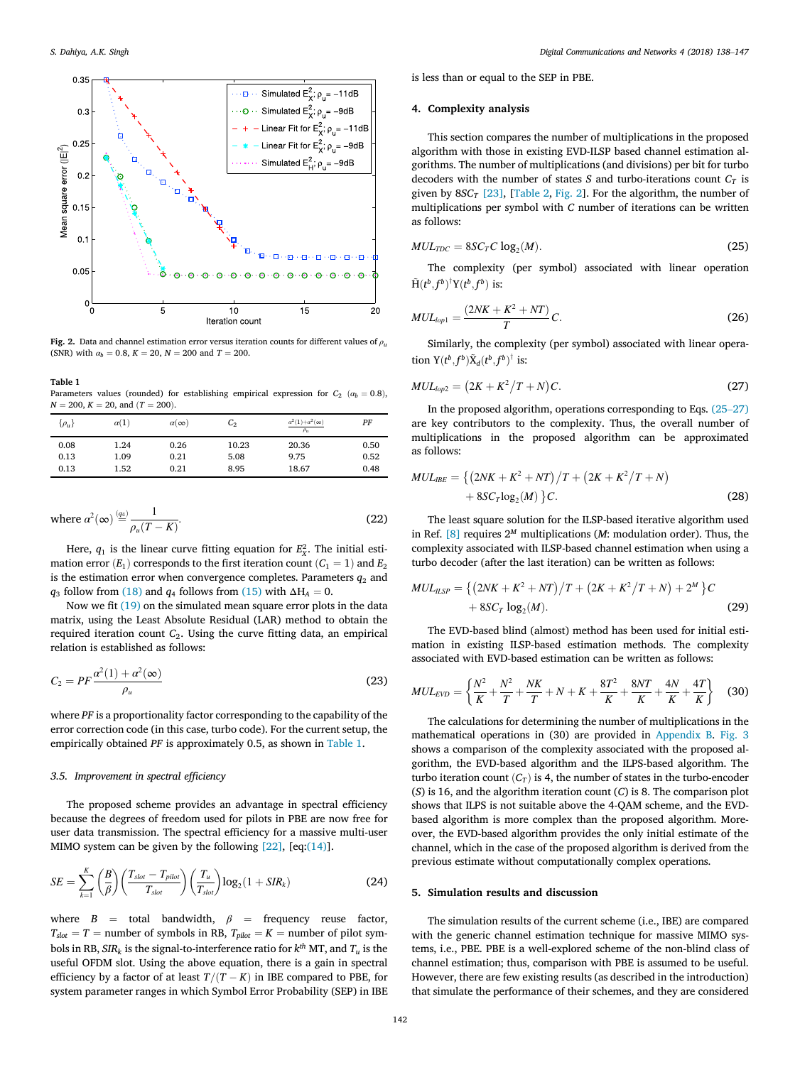

Fig. 2. Data and channel estimation error versus iteration counts for different values of ρ*<sup>u</sup>* (SNR) with  $\alpha_b = 0.8$ ,  $K = 20$ ,  $N = 200$  and  $T = 200$ .

Table 1

Parameters values (rounded) for establishing empirical expression for  $C_2$  ( $\alpha_b = 0.8$ ),  $N = 200, K = 20, \text{ and } (T = 200)$ .

| $\rho_u$ | $\alpha(1)$ | $\alpha(\infty)$ | $C_{2}$ | $a^2(1)+a^2(\infty)$<br>$\rho_u$ | PF   |
|----------|-------------|------------------|---------|----------------------------------|------|
| 0.08     | 1.24        | 0.26             | 10.23   | 20.36                            | 0.50 |
| 0.13     | 1.09        | 0.21             | 5.08    | 9.75                             | 0.52 |
| 0.13     | 1.52        | 0.21             | 8.95    | 18.67                            | 0.48 |

where 
$$
\alpha^2(\infty) \stackrel{(q_4)}{=} \frac{1}{\rho_u (T - K)}
$$
. (22)

Here,  $q_1$  is the linear curve fitting equation for  $E_x^2$ . The initial estimation error  $(E_1)$  corresponds to the first iteration count  $(C_1 = 1)$  and  $E_2$ is the estimation error when convergence completes. Parameters  $q_2$  and *q*<sub>3</sub> follow from (18) and *q*<sub>4</sub> follows from (15) with  $\Delta H_A = 0$ .

Now we fit (19) on the simulated mean square error plots in the data matrix, using the Least Absolute Residual (LAR) method to obtain the required iteration count *C*2. Using the curve fitting data, an empirical relation is established as follows:

$$
C_2 = PF \frac{\alpha^2(1) + \alpha^2(\infty)}{\rho_u}
$$
\n(23)

where *PF* is a proportionality factor corresponding to the capability of the error correction code (in this case, turbo code). For the current setup, the empirically obtained *PF* is approximately 0.5, as shown in Table 1.

# *3.5. Improvement in spectral ef*fi*ciency*

The proposed scheme provides an advantage in spectral efficiency because the degrees of freedom used for pilots in PBE are now free for user data transmission. The spectral efficiency for a massive multi-user MIMO system can be given by the following  $[22]$ ,  $[eq:(14)]$ .

$$
SE = \sum_{k=1}^{K} {B \choose \beta} \left( \frac{T_{slot} - T_{pilot}}{T_{slot}} \right) \left( \frac{T_u}{T_{slot}} \right) \log_2(1 + SIR_k)
$$
(24)

where  $B =$  total bandwidth,  $\beta =$  frequency reuse factor,  $T_{slot} = T$  = number of symbols in RB,  $T_{pilot} = K$  = number of pilot symbols in RB, *SIR<sup>k</sup>* is the signal-to-interference ratio for *k th* MT, and *T<sup>u</sup>* is the useful OFDM slot. Using the above equation, there is a gain in spectral efficiency by a factor of at least  $T/(T - K)$  in IBE compared to PBE, for system parameter ranges in which Symbol Error Probability (SEP) in IBE is less than or equal to the SEP in PBE.

#### 4. Complexity analysis

This section compares the number of multiplications in the proposed algorithm with those in existing EVD-ILSP based channel estimation algorithms. The number of multiplications (and divisions) per bit for turbo decoders with the number of states *S* and turbo-iterations count  $C_T$  is given by  $8SC_T$  [23], [Table 2, Fig. 2]. For the algorithm, the number of multiplications per symbol with *C* number of iterations can be written as follows:

$$
MUL_{TDC} = 8SC_T C \log_2(M). \tag{25}
$$

The complexity (per symbol) associated with linear operation  $\tilde{H}(t^b, f^b)^\dagger Y(t^b, f^b)$  is:

$$
MUL_{lop1} = \frac{(2NK + K^2 + NT)}{T}C.
$$
 (26)

Similarly, the complexity (per symbol) associated with linear operation  $Y(t^b, f^b) \tilde{X}_d(t^b, f^b)^{\dagger}$  is:

$$
MUL_{lop2} = (2K + K^2/T + N)C.
$$
 (27)

In the proposed algorithm, operations corresponding to Eqs. (25–27) are key contributors to the complexity. Thus, the overall number of multiplications in the proposed algorithm can be approximated as follows:

$$
MUL_{IBE} = \{(2NK + K^2 + NT)/T + (2K + K^2/T + N) + 8SC_I \log_2(M)\}C.
$$
 (28)

The least square solution for the ILSP-based iterative algorithm used in Ref. [8] requires 2*<sup>M</sup>* multiplications (*M*: modulation order). Thus, the complexity associated with ILSP-based channel estimation when using a turbo decoder (after the last iteration) can be written as follows:

$$
MUL_{ILSP} = \{ (2NK + K^2 + NT) / T + (2K + K^2 / T + N) + 2^M \} C + 8SC_T \log_2(M).
$$
 (29)

The EVD-based blind (almost) method has been used for initial estimation in existing ILSP-based estimation methods. The complexity associated with EVD-based estimation can be written as follows:

$$
MUL_{EVD} = \left\{ \frac{N^2}{K} + \frac{N^2}{T} + \frac{NK}{T} + N + K + \frac{8T^2}{K} + \frac{8NT}{K} + \frac{4N}{K} + \frac{4T}{K} \right\}
$$
(30)

The calculations for determining the number of multiplications in the mathematical operations in (30) are provided in Appendix B. Fig. 3 shows a comparison of the complexity associated with the proposed algorithm, the EVD-based algorithm and the ILPS-based algorithm. The turbo iteration count  $(C_T)$  is 4, the number of states in the turbo-encoder (*S*) is 16, and the algorithm iteration count (*C*) is 8. The comparison plot shows that ILPS is not suitable above the 4-QAM scheme, and the EVDbased algorithm is more complex than the proposed algorithm. Moreover, the EVD-based algorithm provides the only initial estimate of the channel, which in the case of the proposed algorithm is derived from the previous estimate without computationally complex operations.

#### 5. Simulation results and discussion

The simulation results of the current scheme (i.e., IBE) are compared with the generic channel estimation technique for massive MIMO systems, i.e., PBE. PBE is a well-explored scheme of the non-blind class of channel estimation; thus, comparison with PBE is assumed to be useful. However, there are few existing results (as described in the introduction) that simulate the performance of their schemes, and they are considered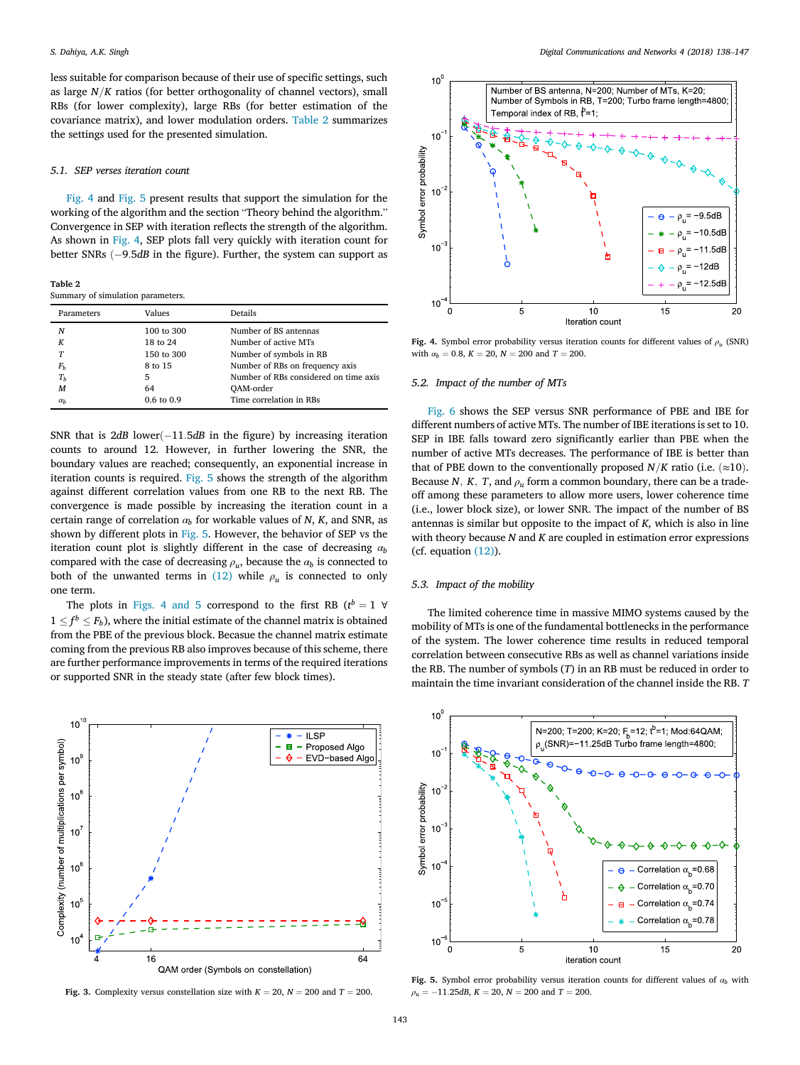less suitable for comparison because of their use of specific settings, such as large  $N/K$  ratios (for better orthogonality of channel vectors), small RBs (for lower complexity), large RBs (for better estimation of the covariance matrix), and lower modulation orders. Table 2 summarizes the settings used for the presented simulation.

#### *5.1. SEP verses iteration count*

Fig. 4 and Fig. 5 present results that support the simulation for the working of the algorithm and the section "Theory behind the algorithm." Convergence in SEP with iteration reflects the strength of the algorithm. As shown in Fig. 4, SEP plots fall very quickly with iteration count for better SNRs  $(-9.5dB$  in the figure). Further, the system can support as

Table 2 Summary of simulation parameters.

| Parameters     | Values                | Details                               |
|----------------|-----------------------|---------------------------------------|
| N              | 100 to 300            | Number of BS antennas                 |
| К              | 18 to 24              | Number of active MTs                  |
| T              | 150 to 300            | Number of symbols in RB               |
| $F_b$          | 8 to 15               | Number of RBs on frequency axis       |
| T <sub>b</sub> | 5                     | Number of RBs considered on time axis |
| M              | 64                    | OAM-order                             |
| $\alpha_h$     | $0.6 \text{ to } 0.9$ | Time correlation in RBs               |

SNR that is  $2dB$  lower $(-11.5dB$  in the figure) by increasing iteration counts to around 12. However, in further lowering the SNR, the boundary values are reached; consequently, an exponential increase in iteration counts is required. Fig. 5 shows the strength of the algorithm against different correlation values from one RB to the next RB. The convergence is made possible by increasing the iteration count in a certain range of correlation  $\alpha_b$  for workable values of *N*, *K*, and SNR, as shown by different plots in Fig. 5. However, the behavior of SEP vs the iteration count plot is slightly different in the case of decreasing α*<sup>b</sup>* compared with the case of decreasing  $\rho_u$ , because the  $\alpha_b$  is connected to both of the unwanted terms in  $(12)$  while  $\rho_u$  is connected to only one term.

The plots in Figs. 4 and 5 correspond to the first RB  $(t^b = 1 \ \forall$  $1 \leq f^b \leq F_b$ ), where the initial estimate of the channel matrix is obtained from the PBE of the previous block. Becasue the channel matrix estimate coming from the previous RB also improves because of this scheme, there are further performance improvements in terms of the required iterations or supported SNR in the steady state (after few block times).



Fig. 3. Complexity versus constellation size with  $K = 20$ ,  $N = 200$  and  $T = 200$ .



Fig. 4. Symbol error probability versus iteration counts for different values of  $\rho$ <sub>u</sub> (SNR) with  $\alpha_b = 0.8$ ,  $K = 20$ ,  $N = 200$  and  $T = 200$ .

### *5.2. Impact of the number of MTs*

Fig. 6 shows the SEP versus SNR performance of PBE and IBE for different numbers of active MTs. The number of IBE iterations is set to 10. SEP in IBE falls toward zero significantly earlier than PBE when the number of active MTs decreases. The performance of IBE is better than that of PBE down to the conventionally proposed  $N/K$  ratio (i.e.  $(\approx 10)$ ). Because *N*, *K*, *T*, and  $\rho_u$  form a common boundary, there can be a tradeoff among these parameters to allow more users, lower coherence time (i.e., lower block size), or lower SNR. The impact of the number of BS antennas is similar but opposite to the impact of *K,* which is also in line with theory because *N* and *K* are coupled in estimation error expressions (cf. equation (12)).

#### *5.3. Impact of the mobility*

The limited coherence time in massive MIMO systems caused by the mobility of MTs is one of the fundamental bottlenecks in the performance of the system. The lower coherence time results in reduced temporal correlation between consecutive RBs as well as channel variations inside the RB. The number of symbols (*T*) in an RB must be reduced in order to maintain the time invariant consideration of the channel inside the RB. *T*



Fig. 5. Symbol error probability versus iteration counts for different values of  $\alpha$ <sub>*b*</sub> with  $\rho_{\mu} = -11.25dB$ ,  $K = 20$ ,  $N = 200$  and  $T = 200$ .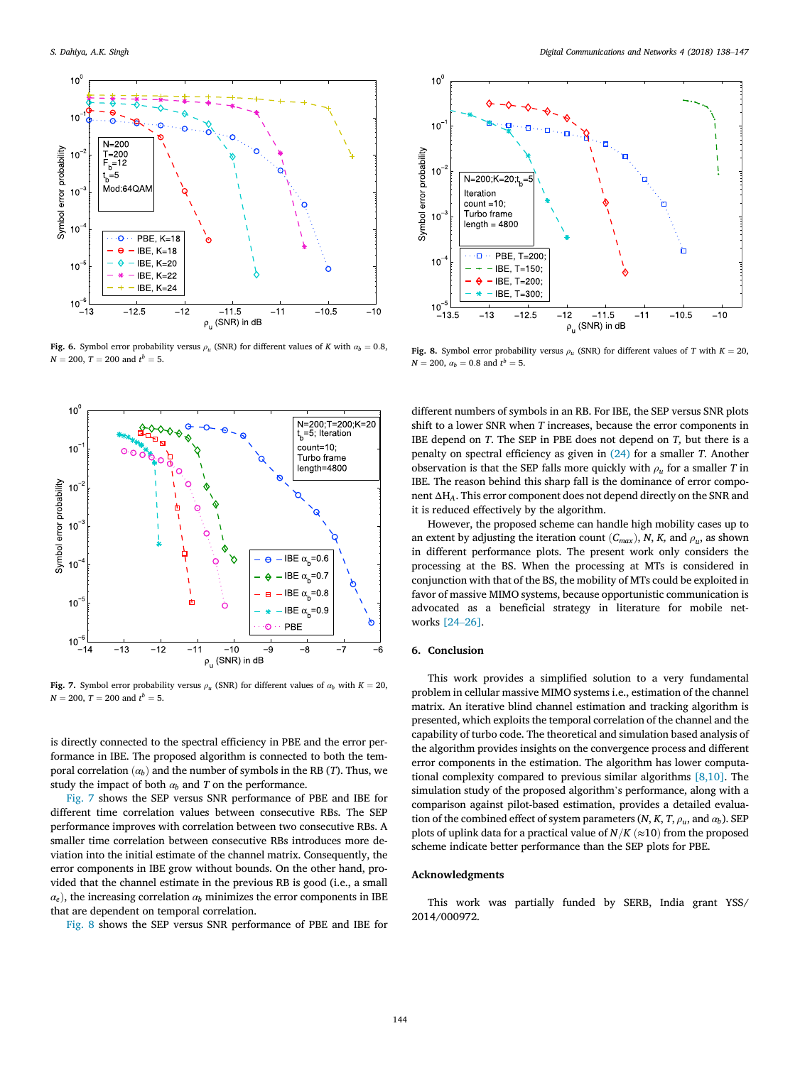

Fig. 6. Symbol error probability versus  $\rho_u$  (SNR) for different values of *K* with  $\alpha_b = 0.8$ ,  $N = 200, T = 200$  and  $t^b = 5$ .



Fig. 7. Symbol error probability versus  $\rho_u$  (SNR) for different values of  $\alpha_b$  with  $K=20$ ,  $N = 200, T = 200$  and  $t^b = 5$ .

is directly connected to the spectral efficiency in PBE and the error performance in IBE. The proposed algorithm is connected to both the temporal correlation  $(a_b)$  and the number of symbols in the RB (*T*). Thus, we study the impact of both  $\alpha_b$  and  $T$  on the performance.

Fig. 7 shows the SEP versus SNR performance of PBE and IBE for different time correlation values between consecutive RBs. The SEP performance improves with correlation between two consecutive RBs. A smaller time correlation between consecutive RBs introduces more deviation into the initial estimate of the channel matrix. Consequently, the error components in IBE grow without bounds. On the other hand, provided that the channel estimate in the previous RB is good (i.e., a small  $\alpha_e$ ), the increasing correlation  $\alpha_b$  minimizes the error components in IBE that are dependent on temporal correlation.

Fig. 8 shows the SEP versus SNR performance of PBE and IBE for



Fig. 8. Symbol error probability versus  $\rho_u$  (SNR) for different values of *T* with  $K = 20$ ,  $N = 200$ ,  $\alpha_b = 0.8$  and  $t^b = 5$ .

different numbers of symbols in an RB. For IBE, the SEP versus SNR plots shift to a lower SNR when *T* increases, because the error components in IBE depend on *T*. The SEP in PBE does not depend on *T,* but there is a penalty on spectral efficiency as given in (24) for a smaller *T*. Another observation is that the SEP falls more quickly with  $\rho_u$  for a smaller *T* in IBE. The reason behind this sharp fall is the dominance of error component ΔH*A*. This error component does not depend directly on the SNR and it is reduced effectively by the algorithm.

However, the proposed scheme can handle high mobility cases up to an extent by adjusting the iteration count  $(C_{max})$ , *N*, *K*, and  $\rho_u$ , as shown in different performance plots. The present work only considers the processing at the BS. When the processing at MTs is considered in conjunction with that of the BS, the mobility of MTs could be exploited in favor of massive MIMO systems, because opportunistic communication is advocated as a beneficial strategy in literature for mobile networks [24–26].

# 6. Conclusion

This work provides a simplified solution to a very fundamental problem in cellular massive MIMO systems i.e., estimation of the channel matrix. An iterative blind channel estimation and tracking algorithm is presented, which exploits the temporal correlation of the channel and the capability of turbo code. The theoretical and simulation based analysis of the algorithm provides insights on the convergence process and different error components in the estimation. The algorithm has lower computational complexity compared to previous similar algorithms [8,10]. The simulation study of the proposed algorithm's performance, along with a comparison against pilot-based estimation, provides a detailed evaluation of the combined effect of system parameters  $(N, K, T, \rho_u, \text{and } \alpha_b)$ . SEP plots of uplink data for a practical value of  $N/K$  ( $\approx$ 10) from the proposed scheme indicate better performance than the SEP plots for PBE.

#### Acknowledgments

This work was partially funded by SERB, India grant YSS/ 2014/000972.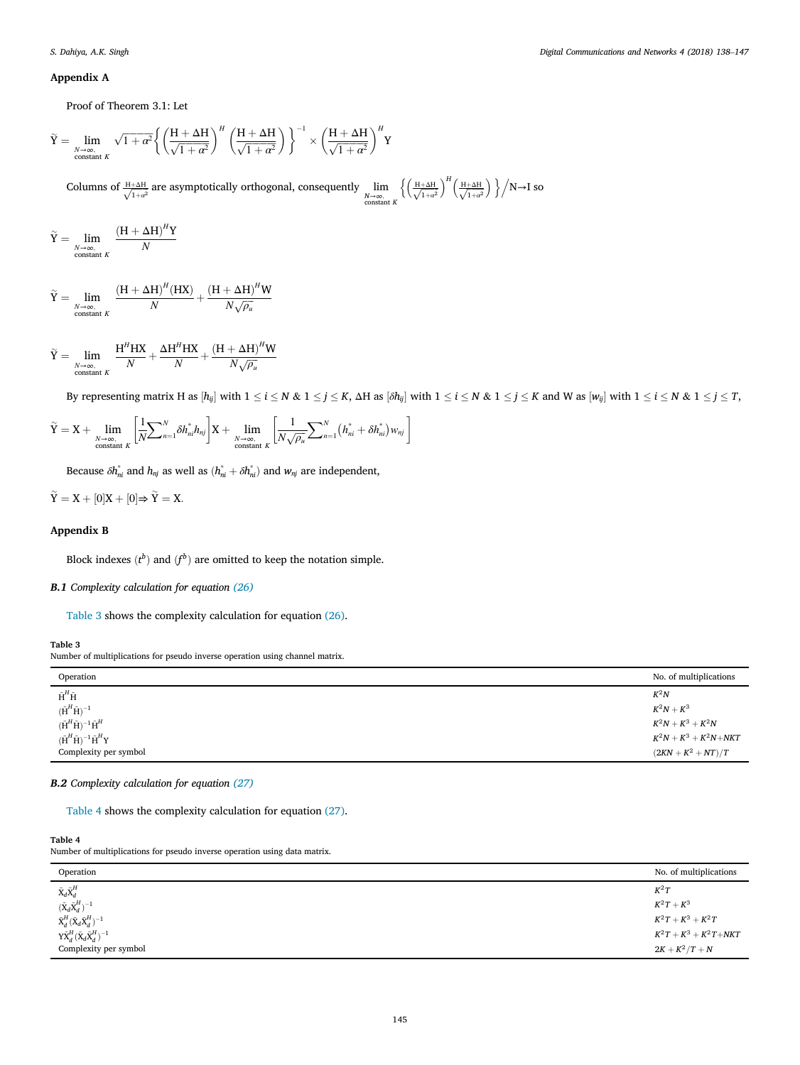# Appendix A

Proof of Theorem 3.1: Let

$$
\tilde{Y} = \lim_{\substack{N \to \infty, \\ \text{constant } K}} \sqrt{1 + \alpha^2} \left\{ \left( \frac{H + \Delta H}{\sqrt{1 + \alpha^2}} \right)^H \left( \frac{H + \Delta H}{\sqrt{1 + \alpha^2}} \right) \right\}^{-1} \times \left( \frac{H + \Delta H}{\sqrt{1 + \alpha^2}} \right)^H Y
$$
\nColumns of  $\frac{H + \Delta H}{\sqrt{1 + \alpha^2}}$  are asymptotically orthogonal, consequently  $\lim_{\substack{N \to \infty, \\ \text{constant } K}} \left\{ \left( \frac{H + \Delta H}{\sqrt{1 + \alpha^2}} \right)^H \left( \frac{H + \Delta H}{\sqrt{1 + \alpha^2}} \right) \right\} / N \to I$  so

$$
\widetilde{Y} = \lim_{\substack{N \to \infty, \\ \text{constant } K}} \frac{(H + \Delta H)^H Y}{N}
$$

$$
\widetilde{Y} = \lim_{\substack{N \to \infty, \\ \text{constant } K}} \frac{(H + \Delta H)^H (HX)}{N} + \frac{(H + \Delta H)^H W}{N \sqrt{\rho_u}}
$$

$$
\widetilde{Y} = \lim_{\substack{N \to \infty, \\ \text{constant } K}} \frac{H^H H X}{N} + \frac{\Delta H^H H X}{N} + \frac{(H + \Delta H)^H W}{N \sqrt{\rho_u}}
$$

By representing matrix H as  $[h_{ij}]$  with  $1 \le i \le N$  &  $1 \le j \le K$ ,  $\Delta H$  as  $[\delta h_{ij}]$  with  $1 \le i \le N$  &  $1 \le j \le K$  and W as  $[w_{ij}]$  with  $1 \le i \le N$  &  $1 \le j \le T$ ,

$$
\widetilde{Y} = X + \lim_{\substack{N \to \infty, \\ \text{constant } K}} \left[ \frac{1}{N} \sum_{n=1}^{N} \delta h_{ni}^{*} h_{nj} \right] X + \lim_{\substack{N \to \infty, \\ \text{constant } K}} \left[ \frac{1}{N \sqrt{\rho_u}} \sum_{n=1}^{N} \left( h_{ni}^{*} + \delta h_{ni}^{*} \right) w_{nj} \right]
$$

Because  $\delta h_{ni}^*$  and  $h_{nj}$  as well as  $(h_{ni}^* + \delta h_{ni}^*)$  and  $w_{nj}$  are independent,

 $\widetilde{Y} = X + [0]X + [0] \Rightarrow \widetilde{Y} = X.$ 

# Appendix B

Block indexes  $(t^b)$  and  $(f^b)$  are omitted to keep the notation simple.

# B.1 *Complexity calculation for equation (26)*

Table 3 shows the complexity calculation for equation (26).

#### Table 3

Number of multiplications for pseudo inverse operation using channel matrix.

| Operation                                                                        | No. of multiplications    |
|----------------------------------------------------------------------------------|---------------------------|
| $\tilde{\textbf{H}}^H\tilde{\textbf{H}}$                                         | $K^2N$                    |
| $(\tilde{\textbf{H}}^H \tilde{\textbf{H}})^{-1}$                                 | $K^2N+K^3$                |
| $(\tilde{\textbf{H}}^H \tilde{\textbf{H}})^{-1} \tilde{\textbf{H}}^H$            | $K^2N + K^3 + K^2N$       |
| $(\tilde{\textbf{H}}^H \tilde{\textbf{H}})^{-1} \tilde{\textbf{H}}^H \textbf{Y}$ | $K^2N + K^3 + K^2N + NKT$ |
| Complexity per symbol                                                            | $(2KN + K^2 + NT)/T$      |

# B.2 *Complexity calculation for equation (27)*

Table 4 shows the complexity calculation for equation (27).

#### Table 4

Number of multiplications for pseudo inverse operation using data matrix.

| Operation                                                                                                           | No. of multiplications    |
|---------------------------------------------------------------------------------------------------------------------|---------------------------|
|                                                                                                                     | $K^2T$                    |
| $\frac{\tilde{\mathbf{X}}_d \tilde{\mathbf{X}}_d^H}{\left(\tilde{\mathbf{X}}_d \tilde{\mathbf{X}}_d^H\right)^{-1}}$ | $K^2T+K^3$                |
| $\tilde{\text{X}}^H_d (\tilde{\text{X}}_d \tilde{\text{X}}^H_d)^{-1}$                                               | $K^2T+K^3+K^2T$           |
| $\mathrm{Y}\mathrm{\tilde{X}}_{d}^{H}(\mathrm{\tilde{X}}_{d}\mathrm{\tilde{X}}_{d}^{H})^{-1}$                       | $K^2T + K^3 + K^2T + NKT$ |
| Complexity per symbol                                                                                               | $2K + K^2/T + N$          |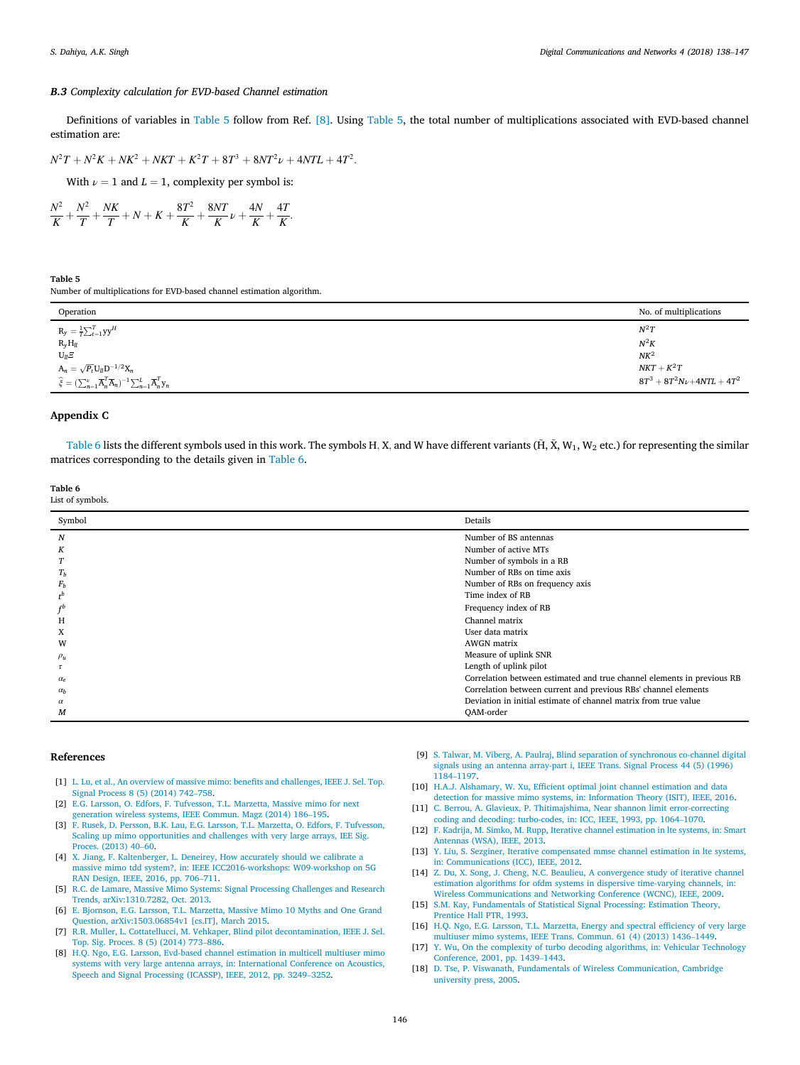### B.3 *Complexity calculation for EVD-based Channel estimation*

Definitions of variables in Table 5 follow from Ref. [8]. Using Table 5, the total number of multiplications associated with EVD-based channel estimation are:

$$
N^{2}T + N^{2}K + NK^{2} + NKT + K^{2}T + 8T^{3} + 8NT^{2}\nu + 4NTL + 4T^{2}.
$$

With  $\nu = 1$  and  $L = 1$ , complexity per symbol is:

$$
\frac{N^2}{K} + \frac{N^2}{T} + \frac{NK}{T} + N + K + \frac{8T^2}{K} + \frac{8NT}{K} \nu + \frac{4N}{K} + \frac{4T}{K}.
$$

Table 5 Number of multiplications for EVD-based channel estimation algorithm.

| Operation                                                                                                                                       | No. of multiplications    |
|-------------------------------------------------------------------------------------------------------------------------------------------------|---------------------------|
| $\mathrm{R}_{\mathrm{y}}=\frac{1}{T}{\sum}_{t=1}^{T}\mathrm{y}\mathrm{y}^{H}$                                                                   | $N^2T$                    |
| $R_yH_{ll}$                                                                                                                                     | $N^2K$                    |
| $U_{ll} \Xi$                                                                                                                                    | NK <sup>2</sup>           |
| $\mathrm{A}_n = \sqrt{P_t} \mathrm{U}_{ll} \mathrm{D}^{-1/2} \mathrm{X}_{n}$                                                                    | $NKT + K^2T$              |
| $\widehat{\xi} = (\sum_{n=1}^{\nu} \overline{\mathbf{A}}_n^T \overline{\mathbf{A}}_n)^{-1} \sum_{n=1}^L \overline{\mathbf{A}}_n^T \mathbf{y}_n$ | $8T^3+8T^2N\nu+4NTL+4T^2$ |

### Appendix C

Table 6 lists the different symbols used in this work. The symbols H, X, and W have different variants ( $\tilde{H}$ ,  $\tilde{X}$ ,  $W_1$ ,  $W_2$  etc.) for representing the similar matrices corresponding to the details given in Table 6.

Table 6 List of symbols.

| Symbol           | Details                                                                |
|------------------|------------------------------------------------------------------------|
| $\boldsymbol{N}$ | Number of BS antennas                                                  |
| K                | Number of active MTs                                                   |
| T                | Number of symbols in a RB                                              |
| $T_h$            | Number of RBs on time axis                                             |
| $F_b$            | Number of RBs on frequency axis                                        |
| $t^b$            | Time index of RB                                                       |
| $f^b$            | Frequency index of RB                                                  |
| H                | Channel matrix                                                         |
| X                | User data matrix                                                       |
| W                | <b>AWGN</b> matrix                                                     |
| $\rho_u$         | Measure of uplink SNR                                                  |
| $\tau$           | Length of uplink pilot                                                 |
| $\alpha_e$       | Correlation between estimated and true channel elements in previous RB |
| $\alpha_b$       | Correlation between current and previous RBs' channel elements         |
| $\alpha$         | Deviation in initial estimate of channel matrix from true value        |
| M                | <b>OAM-order</b>                                                       |
|                  |                                                                        |

### References

- [1] L. Lu, et al., An overview of massive mimo: benefits and challenges, IEEE J. Sel. Top. Signal Process 8 (5) (2014) 742–758.
- [2] E.G. Larsson, O. Edfors, F. Tufvesson, T.L. Marzetta, Massive mimo for next generation wireless systems, IEEE Commun. Magz (2014) 186–195.
- [3] F. Rusek, D. Persson, B.K. Lau, E.G. Larsson, T.L. Marzetta, O. Edfors, F. Tufvesson, Scaling up mimo opportunities and challenges with very large arrays, IEE Sig. Proces. (2013) 40–60.
- [4] X. Jiang, F. Kaltenberger, L. Deneirey, How accurately should we calibrate a massive mimo tdd system?, in: IEEE ICC2016-workshops: W09-workshop on 5G RAN Design, IEEE, 2016, pp. 706–711.
- [5] R.C. de Lamare, Massive Mimo Systems: Signal Processing Challenges and Research Trends, arXiv:1310.7282, Oct. 2013.
- [6] E. Bjornson, E.G. Larsson, T.L. Marzetta, Massive Mimo 10 Myths and One Grand Question, arXiv:1503.06854v1 [cs.IT], March 2015.
- [7] R.R. Muller, L. Cottatellucci, M. Vehkaper, Blind pilot decontamination, IEEE J. Sel. Top. Sig. Proces. 8 (5) (2014) 773–886.
- [8] H.Q. Ngo, E.G. Larsson, Evd-based channel estimation in multicell multiuser mimo systems with very large antenna arrays, in: International Conference on Acoustics, Speech and Signal Processing (ICASSP), IEEE, 2012, pp. 3249–3252.
- [9] S. Talwar, M. Viberg, A. Paulraj, Blind separation of synchronous co-channel digital signals using an antenna array-part i, IEEE Trans. Signal Process 44 (5) (1996) 1184–1197.
- [10] H.A.J. Alshamary, W. Xu, Efficient optimal joint channel estimation and data detection for massive mimo systems, in: Information Theory (ISIT), IEEE, 2016.
- [11] C. Berrou, A. Glavieux, P. Thitimajshima, Near shannon limit error-correcting coding and decoding: turbo-codes, in: ICC, IEEE, 1993, pp. 1064–1070.
- [12] F. Kadrija, M. Simko, M. Rupp, Iterative channel estimation in lte systems, in: Smart Antennas (WSA), IEEE, 2013.
- [13] Y. Liu, S. Sezginer, Iterative compensated mmse channel estimation in lte systems, in: Communications (ICC), IEEE, 2012.
- [14] Z. Du, X. Song, J. Cheng, N.C. Beaulieu, A convergence study of iterative channel estimation algorithms for ofdm systems in dispersive time-varying channels, in: Wireless Communications and Networking Conference (WCNC), IEEE, 2009.
- [15] S.M. Kay, Fundamentals of Statistical Signal Processing: Estimation Theory, Prentice Hall PTR, 1993.
- [16] H.Q. Ngo, E.G. Larsson, T.L. Marzetta, Energy and spectral efficiency of very large multiuser mimo systems, IEEE Trans. Commun. 61 (4) (2013) 1436–1449.
- [17] Y. Wu, On the complexity of turbo decoding algorithms, in: Vehicular Technology Conference, 2001, pp. 1439–1443.
- [18] D. Tse, P. Viswanath, Fundamentals of Wireless Communication, Cambridge university press, 2005.